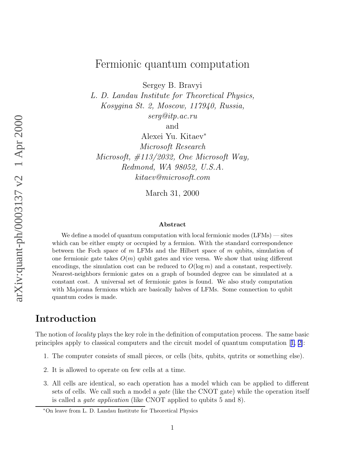# Fermionic quantum computation

Sergey B. Bravyi

L. D. Landau Institute for Theoretical Physics, Kosygina St. 2, Moscow, 117940, Russia, serg@itp.ac.ru

and

Alexei Yu. Kitaev<sup>∗</sup> Microsoft Research Microsoft, #113/2032, One Microsoft Way, Redmond, WA 98052, U.S.A. kitaev@microsoft.com

March 31, 2000

#### Abstract

We define a model of quantum computation with local fermionic modes (LFMs) — sites which can be either empty or occupied by a fermion. With the standard correspondence between the Foch space of  $m$  LFMs and the Hilbert space of  $m$  qubits, simulation of one fermionic gate takes  $O(m)$  qubit gates and vice versa. We show that using different encodings, the simulation cost can be reduced to  $O(\log m)$  and a constant, respectively. Nearest-neighbors fermionic gates on a graph of bounded degree can be simulated at a constant cost. A universal set of fermionic gates is found. We also study computation with Majorana fermions which are basically halves of LFMs. Some connection to qubit quantum codes is made.

# Introduction

The notion of *locality* plays the key role in the definition of computation process. The same basic principles apply to classical computers and the circuit model of quantum computation[[1,](#page-16-0) [2\]](#page-17-0):

- 1. The computer consists of small pieces, or cells (bits, qubits, qutrits or something else).
- 2. It is allowed to operate on few cells at a time.
- 3. All cells are identical, so each operation has a model which can be applied to different sets of cells. We call such a model a gate (like the CNOT gate) while the operation itself is called a gate application (like CNOT applied to qubits 5 and 8).

<sup>∗</sup>On leave from L. D. Landau Institute for Theoretical Physics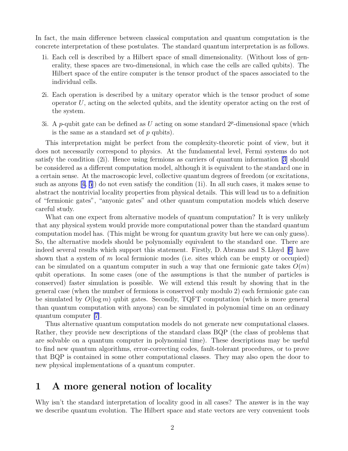<span id="page-1-0"></span>In fact, the main difference between classical computation and quantum computation is the concrete interpretation of these postulates. The standard quantum interpretation is as follows.

- 1i. Each cell is described by a Hilbert space of small dimensionality. (Without loss of generality, these spaces are two-dimensional, in which case the cells are called qubits). The Hilbert space of the entire computer is the tensor product of the spaces associated to the individual cells.
- 2i. Each operation is described by a unitary operator which is the tensor product of some operator  $U$ , acting on the selected qubits, and the identity operator acting on the rest of the system.
- 3i. A p-qubit gate can be defined as U acting on some standard  $2^p$ -dimensional space (which is the same as a standard set of  $p$  qubits).

This interpretation might be perfect from the complexity-theoretic point of view, but it does not necessarily correspond to physics. At the fundamental level, Fermi systems do not satisfy the condition (2i). Hence using fermions as carriers of quantum information[[3\]](#page-17-0) should be considered as a different computation model, although it is equivalent to the standard one in a certain sense. At the macroscopic level, collective quantum degrees of freedom (or excitations, such as anyons [\[4, 5](#page-17-0)]) do not even satisfy the condition (1i). In all such cases, it makes sense to abstract the nontrivial locality properties from physical details. This will lead us to a definition of "fermionic gates", "anyonic gates" and other quantum computation models which deserve careful study.

What can one expect from alternative models of quantum computation? It is very unlikely that any physical system would provide more computational power than the standard quantum computation model has. (This might be wrong for quantum gravity but here we can only guess). So, the alternative models should be polynomially equivalent to the standard one. There are indeed several results which support this statement. Firstly, D. Abrams and S. Lloyd[[6\]](#page-17-0) have shown that a system of m local fermionic modes (i.e. sites which can be empty or occupied) can be simulated on a quantum computer in such a way that one fermionic gate takes  $O(m)$ qubit operations. In some cases (one of the assumptions is that the number of particles is conserved) faster simulation is possible. We will extend this result by showing that in the general case (when the number of fermions is conserved only modulo 2) each fermionic gate can be simulated by  $O(\log m)$  qubit gates. Secondly, TQFT computation (which is more general than quantum computation with anyons) can be simulated in polynomial time on an ordinary quantum computer [\[7\]](#page-17-0).

Thus alternative quantum computation models do not generate new computational classes. Rather, they provide new descriptions of the standard class BQP (the class of problems that are solvable on a quantum computer in polynomial time). These descriptions may be useful to find new quantum algorithms, error-correcting codes, fault-tolerant procedures, or to prove that BQP is contained in some other computational classes. They may also open the door to new physical implementations of a quantum computer.

# 1 A more general notion of locality

Why isn't the standard interpretation of locality good in all cases? The answer is in the way we describe quantum evolution. The Hilbert space and state vectors are very convenient tools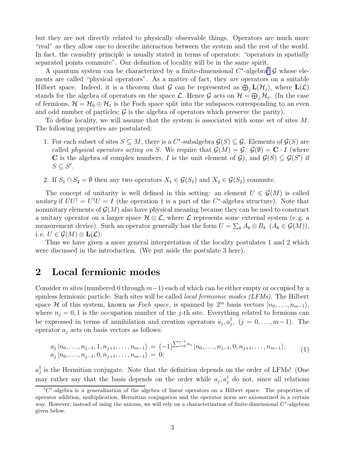but they are not directly related to physically observable things. Operators are much more "real" as they allow one to describe interaction between the system and the rest of the world. In fact, the causality principle is usually stated in terms of operators: "operators in spatially separated points commute". Our definition of locality will be in the same spirit.

A quantum system can be characterized by a finite-dimensional  $C^*$ -algebra<sup>1</sup>  $\mathcal G$  whose elements are called "physical operators". As a matter of fact, they are operators on a suitable Hilbert space. Indeed, it is a theorem that  $\mathcal G$  can be represented as  $\bigoplus_j \mathbf L(\mathcal H_j)$ , where  $\mathbf L(\mathcal L)$ stands for the algebra of operators on the space L. Hence G acts on  $\mathcal{H} = \bigoplus_j \mathcal{H}_j$ . (In the case of fermions,  $\mathcal{H} = \mathcal{H}_0 \oplus \mathcal{H}_1$  is the Foch space split into the subspaces corresponding to an even and odd number of particles;  $\mathcal G$  is the algebra of operators which preserve the parity).

To define locality, we will assume that the system is associated with some set of sites M. The following properties are postulated:

- 1. For each subset of sites  $S \subseteq M$ , there is a  $C^*$ -subalgebra  $\mathcal{G}(S) \subseteq \mathcal{G}$ . Elements of  $\mathcal{G}(S)$  are called physical operators acting on S. We require that  $\mathcal{G}(M) = \mathcal{G}, \mathcal{G}(\emptyset) = \mathbf{C} \cdot I$  (where **C** is the algebra of complex numbers, I is the unit element of  $\mathcal{G}$ ), and  $\mathcal{G}(S) \subseteq \mathcal{G}(S')$  if  $S \subseteq S'.$
- 2. If  $S_1 \cap S_2 = \emptyset$  then any two operators  $X_1 \in \mathcal{G}(S_1)$  and  $X_2 \in \mathcal{G}(S_2)$  commute.

The concept of unitarity is well defined in this setting: an element  $U \in \mathcal{G}(M)$  is called unitary if  $UU^{\dagger} = U^{\dagger}U = I$  (the operation  $\dagger$  is a part of the  $C^*$ -algebra structure). Note that nonunitary elements of  $\mathcal{G}(M)$  also have physical meaning because they can be used to construct a unitary operator on a larger space  $\mathcal{H} \otimes \mathcal{L}$ , where  $\mathcal{L}$  represents some external system (e.g. a measurement device). Such an operator generally has the form  $U = \sum_k A_k \otimes B_k \ (A_k \in \mathcal{G}(M)),$ i. e.  $U \in \mathcal{G}(M) \otimes \mathbf{L}(\mathcal{L})$ .

Thus we have given a more general interpretation of the locality postulates 1 and 2 which were discussed in the introduction. (We put aside the postulate 3 here).

#### 2 Local fermionic modes

Consider m sites (numbered 0 through  $m-1$ ) each of which can be either empty or occupied by a spinless fermionic particle. Such sites will be called local fermionic modes (LFMs). The Hilbert space H of this system, known as Foch space, is spanned by  $2^m$  basis vectors  $|n_0, \ldots, n_{m-1}\rangle$ , where  $n_i = 0, 1$  is the occupation number of the j-th site. Everything related to fermions can be expressed in terms of annihilation and creation operators  $a_j, a_j^{\dagger}, (j = 0, \ldots, m-1)$ . The operator  $a_j$  acts on basis vectors as follows:

$$
a_j | n_0, \ldots, n_{j-1}, 1, n_{j+1}, \ldots, n_{m-1} \rangle = (-1)^{\sum_{s=0}^{j-1} n_s} | n_0, \ldots, n_{j-1}, 0, n_{j+1}, \ldots, n_{m-1} \rangle, \qquad (1)
$$
  
\n
$$
a_j | n_0, \ldots, n_{j-1}, 0, n_{j+1}, \ldots, n_{m-1} \rangle = 0;
$$

 $a_j^{\dagger}$  is the Hermitian conjugate. Note that the definition depends on the order of LFMs! (One may rather say that the basis depends on the order while  $a_j$ ,  $a_j^{\dagger}$  do not, since all relations

 ${}^{1}C^{*}$ -algebra is a generalization of the algebra of linear operators on a Hilbert space. The properties of operator addition, multiplication, Hermitian conjugation and the operator norm are axiomatized in a certain way. However, instead of using the axioms, we will rely on a characterization of finite-dimensional  $C^*$ -algebras given below.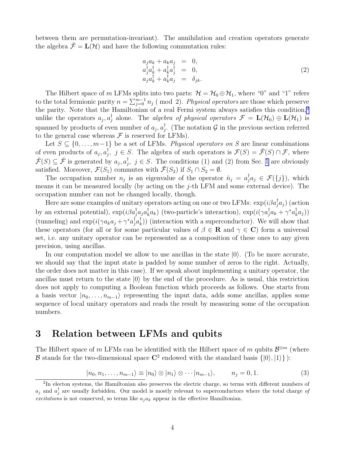<span id="page-3-0"></span>between them are permutation-invariant). The annihilation and creation operators generate the algebra  $\bar{\mathcal{F}} = L(\mathcal{H})$  and have the following commutation rules:

$$
a_j a_k + a_k a_j = 0,
$$
  
\n
$$
a_j^{\dagger} a_k^{\dagger} + a_k^{\dagger} a_j^{\dagger} = 0,
$$
  
\n
$$
a_j a_k^{\dagger} + a_k^{\dagger} a_j = \delta_{jk}.
$$
\n(2)

The Hilbert space of m LFMs splits into two parts:  $\mathcal{H} = \mathcal{H}_0 \oplus \mathcal{H}_1$ , where "0" and "1" refers to the total fermionic parity  $n = \sum_{j=0}^{m-1} n_j$  (mod 2). Physical operators are those which preserve the parity. Note that the Hamiltonian of a real Fermi system always satisfies this condition,<sup>2</sup> unlike the operators  $a_j, a_j^{\dagger}$  alone. The *algebra of physical operators*  $\mathcal{F} = \mathbf{L}(\mathcal{H}_0) \oplus \mathbf{L}(\mathcal{H}_1)$  is spanned by products of even number of  $a_j, a_j^{\dagger}$ . (The notation G in the previous section referred to the general case whereas  $\mathcal F$  is reserved for LFMs).

Let  $S \subseteq \{0, \ldots, m-1\}$  be a set of LFMs. Physical operators on S are linear combinations of even products of  $a_j, a_j^{\dagger}, j \in S$ . The algebra of such operators is  $\mathcal{F}(S) = \bar{\mathcal{F}}(S) \cap \mathcal{F}$ , where  $\overline{\mathcal{F}}(S) \subseteq \overline{\mathcal{F}}$  is generated by  $a_j, a_j^{\dagger}, j \in S$ . The conditions (1) and (2) from Sec. [1](#page-1-0) are obviously satisfied. Moreover,  $\mathcal{F}(S_1)$  commutes with  $\bar{\mathcal{F}}(S_2)$  if  $S_1 \cap S_2 = \emptyset$ .

The occupation number  $n_j$  is an eigenvalue of the operator  $\hat{n}_j = a_j^{\dagger} a_j \in \mathcal{F}(\{j\})$ , which means it can be measured locally (by acting on the j-th LFM and some external device). The occupation number can not be changed locally, though.

Here are some examples of unitary operators acting on one or two LFMs:  $\exp(i\beta a_j^\dagger a_j)$  (action by an external potential),  $\exp(i\beta a_j^\dagger a_j a_k^\dagger a_k)$  (two-particle's interaction),  $\exp(i(\gamma a_j^\dagger a_k + \gamma^* a_k^\dagger a_j))$ (tunneling) and  $\exp(i(\gamma a_k a_j + \gamma^* a_j^{\dagger} a_k^{\dagger}))$  (interaction with a superconductor). We will show that these operators (for all or for some particular values of  $\beta \in \mathbb{R}$  and  $\gamma \in \mathbb{C}$ ) form a universal set, i.e. any unitary operator can be represented as a composition of these ones to any given precision, using ancillas.

In our computation model we allow to use ancillas in the state  $|0\rangle$ . (To be more accurate, we should say that the input state is padded by some number of zeros to the right. Actually, the order does not matter in this case). If we speak about implementing a unitary operator, the ancillas must return to the state  $|0\rangle$  by the end of the procedure. As is usual, this restriction does not apply to computing a Boolean function which proceeds as follows. One starts from a basis vector  $|n_0, \ldots, n_{m-1}\rangle$  representing the input data, adds some ancillas, applies some sequence of local unitary operators and reads the result by measuring some of the occupation numbers.

#### 3 Relation between LFMs and qubits

The Hilbert space of m LFMs can be identified with the Hilbert space of m qubits  $\mathcal{B}^{\otimes m}$  (where **B** stands for the two-dimensional space  $\mathbb{C}^2$  endowed with the standard basis  $\{|0\rangle, |1\rangle\}$ :

$$
|n_0, n_1, \dots, n_{m-1}\rangle \equiv |n_0\rangle \otimes |n_1\rangle \otimes \dots |n_{m-1}\rangle, \qquad n_j = 0, 1. \tag{3}
$$

<sup>&</sup>lt;sup>2</sup>In electon systems, the Hamiltonian also preserves the electric charge, so terms with different numbers of  $a_j$  and  $a_j^{\dagger}$  are usually forbidden. Our model is mostly relevant to superconductors where the total charge of excitations is not conserved, so terms like  $a_i a_k$  appear in the effective Hamiltonian.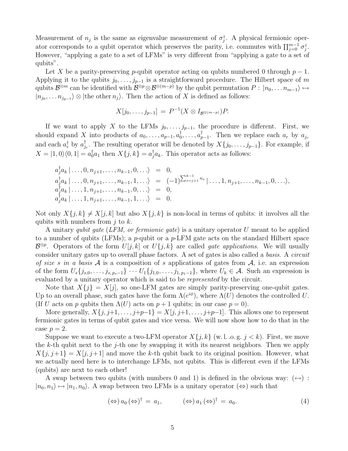Measurement of  $n_j$  is the same as eigenvalue measurement of  $\sigma_j^z$ . A physical fermionic operator corresponds to a qubit operator which preserves the parity, i.e. commutes with  $\prod_{j=0}^{m-1} \sigma_j^z$ . However, "applying a gate to a set of LFMs" is very different from "applying a gate to a set of qubits".

Let X be a parity-preserving p-qubit operator acting on qubits numbered 0 through  $p-1$ . Applying it to the qubits  $j_0, \ldots, j_{p-1}$  is a straightforward procedure. The Hilbert space of m qubits  $\mathcal{B}^{\otimes m}$  can be identified with  $\mathcal{B}^{\otimes p} \otimes \mathcal{B}^{\otimes (m-p)}$  by the qubit permutation  $P : |n_0, \ldots n_{m-1}\rangle \mapsto$  $|n_{j_0}, \ldots n_{j_{p-1}}\rangle \otimes |$  the other  $n_j\rangle$ . Then the action of X is defined as follows:

$$
X[j_0, \ldots, j_{p-1}] = P^{-1}(X \otimes I_{\mathcal{B}^{\otimes (m-p)}})P.
$$

If we want to apply X to the LFMs  $j_0, \ldots, j_{p-1}$ , the procedure is different. First, we should expand X into products of  $a_0, \ldots, a_{p-1}, a_0^{\dagger}, \ldots, a_{p-1}^{\dagger}$ . Then we replace each  $a_r$  by  $a_{j_r}$ and each  $a_r^{\dagger}$  by  $a_{j_r}^{\dagger}$ . The resulting operator will be denoted by  $X\{j_0, \ldots, j_{p-1}\}$ . For example, if  $X = |1,0\rangle\langle0,1| = a_0^{\dagger}a_1$  then  $X\{j,k\} = a_j^{\dagger}a_k$ . This operator acts as follows:

$$
a_j^{\dagger} a_k | \dots, 0, n_{j+1}, \dots, n_{k-1}, 0, \dots \rangle = 0,
$$
  
\n
$$
a_j^{\dagger} a_k | \dots, 0, n_{j+1}, \dots, n_{k-1}, 1, \dots \rangle = (-1)^{\sum_{s=j+1}^{k-1} n_s} | \dots, 1, n_{j+1}, \dots, n_{k-1}, 0, \dots \rangle,
$$
  
\n
$$
a_j^{\dagger} a_k | \dots, 1, n_{j+1}, \dots, n_{k-1}, 0, \dots \rangle = 0,
$$
  
\n
$$
a_j^{\dagger} a_k | \dots, 1, n_{j+1}, \dots, n_{k-1}, 1, \dots \rangle = 0.
$$

Not only  $X\{j,k\} \neq X[j,k]$  but also  $X\{j,k\}$  is non-local in terms of qubits: it involves all the qubits with numbers from  $j$  to  $k$ .

A unitary qubit gate (LFM, or fermionic gate) is a unitary operator U meant to be applied to a number of qubits (LFMs); a p-qubit or a p-LFM gate acts on the standard Hilbert space  $\mathcal{B}^{\otimes p}$ . Operators of the form  $U[j, k]$  or  $U\{j, k\}$  are called *gate applications*. We will usually consider unitary gates up to overall phase factors. A set of gates is also called a basis. A circuit of size s in a basis A is a composition of s applications of gates from  $A$ , i.e. an expression of the form  $U_s\{j_{s,0},\ldots,j_{s,p_s-1}\}\cdots U_1\{j_{1,0},\ldots,j_{1,p_1-1}\}\,$ , where  $U_k\in\mathcal{A}$ . Such an expression is evaluated by a unitary operator which is said to be represented by the circuit.

Note that  $X\{j\} = X[j]$ , so one-LFM gates are simply parity-preserving one-qubit gates. Up to an overall phase, such gates have the form  $\Lambda(e^{i\phi})$ , where  $\Lambda(U)$  denotes the controlled U. (If U acts on p qubits then  $\Lambda(U)$  acts on  $p + 1$  qubits; in our case  $p = 0$ ).

More generally,  $X\{j, j+1, \ldots, j+p-1\} = X[j, j+1, \ldots, j+p-1]$ . This allows one to represent fermionic gates in terms of qubit gates and vice versa. We will now show how to do that in the case  $p=2$ .

Suppose we want to execute a two-LFM operator  $X\{j,k\}$  (w.l. .o.g.  $j < k$ ). First, we move the k-th qubit next to the j-th one by swapping it with its nearest neighbors. Then we apply  $X\{j, j+1\} = X[j, j+1]$  and move the k-th qubit back to its original position. However, what we actually need here is to interchange LFMs, not qubits. This is different even if the LFMs (qubits) are next to each other!

A swap between two qubits (with numbers 0 and 1) is defined in the obvious way:  $(\leftrightarrow)$ :  $|n_0, n_1\rangle \mapsto |n_1, n_0\rangle$ . A swap between two LFMs is a unitary operator  $(\Leftrightarrow)$  such that

$$
(\Leftrightarrow) a_0 (\Leftrightarrow)^\dagger = a_1, \qquad (\Leftrightarrow) a_1 (\Leftrightarrow)^\dagger = a_0. \qquad (4)
$$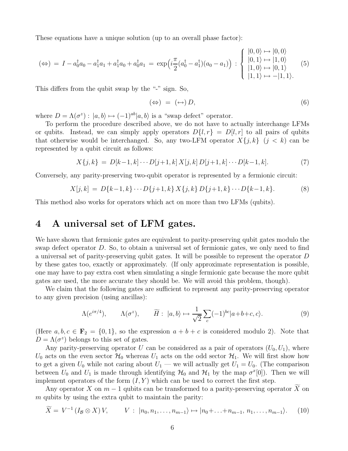<span id="page-5-0"></span>These equations have a unique solution (up to an overall phase factor):

$$
(\Leftrightarrow) = I - a_0^{\dagger} a_0 - a_1^{\dagger} a_1 + a_1^{\dagger} a_0 + a_0^{\dagger} a_1 = \exp\left(i\frac{\pi}{2}(a_0^{\dagger} - a_1^{\dagger})(a_0 - a_1)\right) : \begin{cases} |0,0\rangle \mapsto |0,0\rangle \\ |0,1\rangle \mapsto |1,0\rangle \\ |1,0\rangle \mapsto |0,1\rangle \\ |1,1\rangle \mapsto -|1,1\rangle. \end{cases}
$$
(5)

This differs from the qubit swap by the "-" sign. So,

$$
(\Leftrightarrow) = (\Leftrightarrow) D, \tag{6}
$$

where  $D = \Lambda(\sigma^z) : |a, b\rangle \mapsto (-1)^{ab} |a, b\rangle$  is a "swap defect" operator.

To perform the procedure described above, we do not have to actually interchange LFMs or qubits. Instead, we can simply apply operators  $D\{l, r\} = D\{l, r\}$  to all pairs of qubits that otherwise would be interchanged. So, any two-LFM operator  $X\{j,k\}$   $(j < k)$  can be represented by a qubit circuit as follows:

$$
X\{j,k\} = D[k-1,k]\cdots D[j+1,k] X[j,k] D[j+1,k] \cdots D[k-1,k].
$$
 (7)

Conversely, any parity-preserving two-qubit operator is represented by a fermionic circuit:

$$
X[j,k] = D\{k-1,k\} \cdots D\{j+1,k\} X\{j,k\} D\{j+1,k\} \cdots D\{k-1,k\}.
$$
 (8)

This method also works for operators which act on more than two LFMs (qubits).

### 4 A universal set of LFM gates.

We have shown that fermionic gates are equivalent to parity-preserving qubit gates modulo the swap defect operator D. So, to obtain a universal set of fermionic gates, we only need to find a universal set of parity-preserving qubit gates. It will be possible to represent the operator D by these gates too, exactly or approximately. (If only approximate representation is possible, one may have to pay extra cost when simulating a single fermionic gate because the more qubit gates are used, the more accurate they should be. We will avoid this problem, though).

We claim that the following gates are sufficient to represent any parity-preserving operator to any given precision (using ancillas):

$$
\Lambda(e^{i\pi/4}), \qquad \Lambda(\sigma^z), \qquad \widetilde{H}: \ |a,b\rangle \mapsto \frac{1}{\sqrt{2}} \sum_c (-1)^{bc} |a+b+c,c\rangle. \tag{9}
$$

(Here  $a, b, c \in \mathbf{F}_2 = \{0, 1\}$ , so the expression  $a + b + c$  is considered modulo 2). Note that  $D = \Lambda(\sigma^z)$  belongs to this set of gates.

Any parity-preserving operator U can be considered as a pair of operators  $(U_0, U_1)$ , where  $U_0$  acts on the even sector  $\mathcal{H}_0$  whereas  $U_1$  acts on the odd sector  $\mathcal{H}_1$ . We will first show how to get a given  $U_0$  while not caring about  $U_1$  — we will actually get  $U_1 = U_0$ . (The comparison between  $U_0$  and  $U_1$  is made through identifying  $\mathcal{H}_0$  and  $\mathcal{H}_1$  by the map  $\sigma^x[0]$ ). Then we will implement operators of the form  $(I, Y)$  which can be used to correct the first step.

Any operator X on  $m-1$  qubits can be transformed to a parity-preserving operator X on  $m$  qubits by using the extra qubit to maintain the parity:

$$
\widetilde{X} = V^{-1} (I_{\mathcal{B}} \otimes X) V, \qquad V: |n_0, n_1, \dots, n_{m-1} \rangle \mapsto |n_0 + \dots + n_{m-1}, n_1, \dots, n_{m-1} \rangle. \tag{10}
$$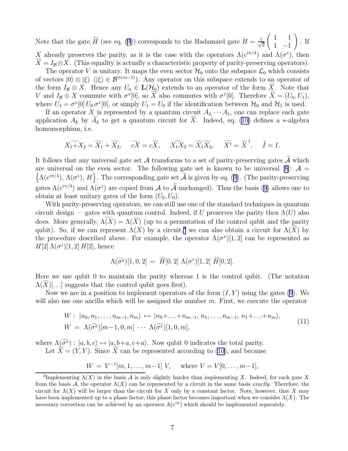Note that the gate  $\widetilde{H}$  (see eq. [\(9](#page-5-0))) corresponds to the Hadamard gate  $H = \frac{1}{\sqrt{2}}$ 2  $\begin{pmatrix} 1 & 1 \end{pmatrix}$  $1 -1$  $\setminus$ . If X already preserves the parity, as it is the case with the operators  $\Lambda(e^{i\pi/4})$  and  $\Lambda(\sigma^2)$ , then

 $X = I_B \otimes X$ . (This equality is actually a characteristic property of parity-preserving operators). The operator V is unitary. It maps the even sector  $\mathcal{H}_0$  onto the subspace  $\mathcal{L}_0$  which consists of vectors  $|0\rangle \otimes |\xi\rangle$  ( $|\xi\rangle \in \mathcal{B}^{\otimes(m-1)}$ ). Any operator on this subspace extends to an operator of the form  $I_B \otimes X$ . Hence any  $U_0 \in \mathbf{L}(\mathcal{H}_0)$  extends to an operator of the form  $\widetilde{X}$ . Note that V and  $I_B \otimes X$  commute with  $\sigma^x[0]$ , so X also commutes with  $\sigma^x[0]$ . Therefore  $\tilde{X} = (U_0, U_1)$ , where  $U_1 = \sigma^x[0] U_0 \sigma^x[0]$ , or simply  $U_1 = U_0$  if the identification between  $\mathcal{H}_0$  and  $\mathcal{H}_1$  is used.

If an operator X is represented by a quantum circuit  $A_L \cdots A_1$ , one can replace each gate application  $A_k$  by  $\widetilde{A}_k$  to get a quantum circuit for  $\widetilde{X}$ . Indeed, eq. [\(10\)](#page-5-0) defines a ∗-algebra homomorphism, i.e.

$$
X_1 + X_2 = \widetilde{X_1} + \widetilde{X_2}, \quad \widetilde{cX} = c\widetilde{X}, \quad \widetilde{X_1X_2} = \widetilde{X_1X_2}, \quad \widetilde{X}^{\dagger} = \widetilde{X}^{\dagger}, \quad \widetilde{I} = I.
$$

It follows that any universal gate set A transforms to a set of parity-preserving gates  $\tilde{A}$  which areuniversal on the even sector. The following gate set is known to be universal [[8\]](#page-17-0):  $\mathcal{A} =$  $\left\{\Lambda(e^{i\pi/4}), \Lambda(\sigma^z), H\right\}$  $\left\{\Lambda(e^{i\pi/4}), \Lambda(\sigma^z), H\right\}$  $\left\{\Lambda(e^{i\pi/4}), \Lambda(\sigma^z), H\right\}$ . The corresponding gate set  $\widetilde{\mathcal{A}}$  is given by eq. ([9\)](#page-5-0). (The parity-preserving gates $\Lambda(e^{i\pi/4})$  and  $\Lambda(\sigma^z)$  are copied from A to A unchanged). Thus the basis ([9\)](#page-5-0) allows one to obtain at least unitary gates of the form  $(U_0, U_0)$ .

With parity-preserving operators, we can still use one of the standard techniques in quantum circuit design — gates with quantum control. Indeed, if U preserves the parity then  $\Lambda(U)$  also does. More generally,  $\widetilde{\Lambda(X)} = \Lambda(\widetilde{X})$  (up to a permutation of the control qubit and the parity qubit). So, if we can represent  $\Lambda(X)$  by a circuit,<sup>3</sup> we can also obtain a circuit for  $\Lambda(\widetilde{X})$  by the procedure described above. For example, the operator  $\Lambda(\sigma^x)[1,2]$  can be represented as  $H[2]\Lambda(\sigma^z)[1,2]$   $H[2]$ , hence

$$
\Lambda(\widetilde{\sigma^x})[1,0,2] \ = \ \widetilde{H}[0,2] \ \Lambda(\sigma^z)[1,2] \ \widetilde{H}[0,2].
$$

Here we use qubit 0 to maintain the parity whereas 1 is the control qubit. (The notation  $\Lambda(X)[\ldots]$  suggests that the control qubit goes first).

Now we are in a position to implement operators of the form  $(I, Y)$  using the gates [\(9](#page-5-0)). We will also use one ancilla which will be assigned the number m. First, we execute the operator

$$
W: |n_0, n_1, \ldots, n_{m-1}, n_m\rangle \mapsto |n_0 + \ldots + n_{m-1}, n_1, \ldots, n_{m-1}, n_1 + \ldots + n_m\rangle,
$$
  
\n
$$
W = \Lambda(\widetilde{\sigma^x})[m-1, 0, m] \cdots \Lambda(\widetilde{\sigma^x})[1, 0, m],
$$
\n(11)

where  $\Lambda(\widetilde{\sigma^x})$ :  $|a, b, c\rangle \mapsto |a, b+a, c+a\rangle$ . Now qubit 0 indicates the total parity. Let  $\widetilde{X} = (Y, Y)$ . Since  $\widetilde{X}$  can be represented according to [\(10\)](#page-5-0), and because

$$
W = V^{-1}[m, 1, \dots, m-1] V, \text{ where } V = V[0, \dots, m-1],
$$

<sup>&</sup>lt;sup>3</sup>Implementing  $\Lambda(X)$  in the basis A is only slightly harder than implementing X. Indeed, for each gate X from the basis A, the operator  $\Lambda(X)$  can be represented by a circuit in the same basis *exactly*. Therefore, the circuit for  $\Lambda(X)$  will be larger than the circuit for X only by a constant factor. Note, however, that X may have been implemented up to a phase factor; this phase factor becomes important when we consider  $\Lambda(X)$ . The necessary correction can be achieved by an operator  $\Lambda(e^{i\phi})$  which should be implemented separately.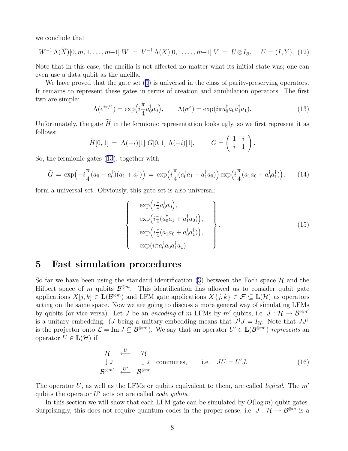<span id="page-7-0"></span>we conclude that

$$
W^{-1}\Lambda(\widetilde{X})[0,m,1,\ldots,m-1]W = V^{-1}\Lambda(X)[0,1,\ldots,m-1]V = U \otimes I_B, \quad U = (I,Y). \tag{12}
$$

Note that in this case, the ancilla is not affected no matter what its initial state was; one can even use a data qubit as the ancilla.

Wehave proved that the gate set  $(9)$  $(9)$  is universal in the class of parity-preserving operators. It remains to represent these gates in terms of creation and annihilation operators. The first two are simple:

$$
\Lambda(e^{i\pi/4}) = \exp\left(i\frac{\pi}{4}a_0^{\dagger}a_0\right), \qquad \Lambda(\sigma^z) = \exp(i\pi a_0^{\dagger}a_0a_1^{\dagger}a_1). \tag{13}
$$

Unfortunately, the gate  $\widetilde{H}$  in the fermionic representation looks ugly, so we first represent it as follows:

$$
\widetilde{H}[0,1] = \Lambda(-i)[1] \ \widetilde{G}[0,1] \ \Lambda(-i)[1], \qquad G = \begin{pmatrix} 1 & i \\ i & 1 \end{pmatrix}.
$$

So, the fermionic gates (13), together with

$$
\tilde{G} = \exp\left(-i\frac{\pi}{4}(a_0 - a_0^{\dagger})(a_1 + a_1^{\dagger})\right) = \exp\left(i\frac{\pi}{4}(a_0^{\dagger}a_1 + a_1^{\dagger}a_0)\right)\exp\left(i\frac{\pi}{4}(a_1a_0 + a_0^{\dagger}a_1^{\dagger})\right),\tag{14}
$$

form a universal set. Obviously, this gate set is also universal:

 $\sqrt{ }$ 

 $\Bigg\}$ 

 $\overline{\mathcal{L}}$ 

$$
\exp\left(i\frac{\pi}{4}a_0^{\dagger}a_0\right),\n\exp\left(i\frac{\pi}{4}(a_0^{\dagger}a_1 + a_1^{\dagger}a_0)\right),\n\exp\left(i\frac{\pi}{4}(a_1a_0 + a_0^{\dagger}a_1^{\dagger})\right),\n\exp(i\pi a_0^{\dagger}a_0a_1^{\dagger}a_1)\n\tag{15}
$$

#### 5 Fast simulation procedures

So far we have been using the standard identification [\(3](#page-3-0)) between the Foch space  $\mathcal H$  and the Hilbert space of m qubits  $\mathcal{B}^{\otimes m}$ . This identification has allowed us to consider qubit gate applications  $X[j, k] \in \mathbf{L}(\mathcal{B}^{\otimes m})$  and LFM gate applications  $X\{j, k\} \in \mathcal{F} \subseteq \mathbf{L}(\mathcal{H})$  as operators acting on the same space. Now we are going to discuss a more general way of simulating LFMs by qubits (or vice versa). Let J be an encoding of m LFMs by m' qubits, i.e.  $J: \mathcal{H} \to \mathcal{B}^{\otimes m'}$ is a unitary embedding. (*J* being a unitary embedding means that  $J^{\dagger}J = I_{\mathcal{H}}$ . Note that  $JJ^{\dagger}$ is the projector onto  $\mathcal{L} = \text{Im } J \subseteq \mathcal{B}^{\otimes m'}$ . We say that an operator  $U' \in \mathbf{L}(\mathcal{B}^{\otimes m'})$  represents an operator  $U \in L(\mathcal{H})$  if

$$
\begin{array}{ccc}\n\mathcal{H} & \stackrel{U}{\longleftarrow} & \mathcal{H} \\
\downarrow J & & \downarrow J \\
\mathcal{B}^{\otimes m'} & \stackrel{U'}{\longleftarrow} & \mathcal{B}^{\otimes m'}\n\end{array}
$$
\ncommutes, i.e.  $JU = U'J$ . (16)

The operator U, as well as the LFMs or qubits equivalent to them, are called *logical*. The  $m'$ qubits the operator  $U'$  acts on are called *code qubits*.

In this section we will show that each LFM gate can be simulated by  $O(\log m)$  qubit gates. Surprisingly, this does not require quantum codes in the proper sense, i.e.  $J : \mathcal{H} \to \mathcal{B}^{\otimes m}$  is a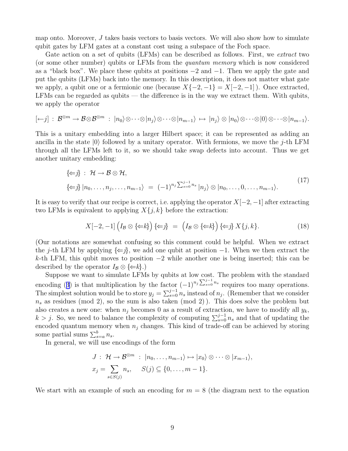map onto. Moreover,  $J$  takes basis vectors to basis vectors. We will also show how to simulate qubit gates by LFM gates at a constant cost using a subspace of the Foch space.

Gate action on a set of qubits (LFMs) can be described as follows. First, we extract two (or some other number) qubits or LFMs from the quantum memory which is now considered as a "black box". We place these qubits at positions −2 and −1. Then we apply the gate and put the qubits (LFMs) back into the memory. In this description, it does not matter what gate we apply, a qubit one or a fermionic one (because  $X\{-2,-1\} = X[-2,-1]$ ). Once extracted, LFMs can be regarded as qubits — the difference is in the way we extract them. With qubits, we apply the operator

$$
[\leftarrow j]: \mathcal{B}^{\otimes m} \to \mathcal{B} \otimes \mathcal{B}^{\otimes m} : |n_0\rangle \otimes \cdots \otimes |n_j\rangle \otimes \cdots \otimes |n_{m-1}\rangle \mapsto |n_j\rangle \otimes |n_0\rangle \otimes \cdots \otimes |0\rangle \otimes \cdots \otimes |n_{m-1}\rangle.
$$

This is a unitary embedding into a larger Hilbert space; it can be represented as adding an ancilla in the state  $|0\rangle$  followed by a unitary operator. With fermions, we move the j-th LFM through all the LFMs left to it, so we should take swap defects into account. Thus we get another unitary embedding:

$$
\{\Leftarrow j\} : \mathcal{H} \to \mathcal{B} \otimes \mathcal{H},
$$
  

$$
\{\Leftarrow j\} | n_0, \dots, n_j, \dots, n_{m-1} \rangle = (-1)^{n_j \sum_{s=0}^{j-1} n_s} | n_j \rangle \otimes | n_0, \dots, 0, \dots, n_{m-1} \rangle.
$$
 (17)

It is easy to verify that our recipe is correct, i.e. applying the operator  $X[-2, -1]$  after extracting two LFMs is equivalent to applying  $X\{j,k\}$  before the extraction:

$$
X[-2,-1]\left(I_B\otimes\{\Leftarrow k\}\right)\{\Leftarrow j\} = \left(I_B\otimes\{\Leftarrow k\}\right)\{\Leftarrow j\}X\{j,k\}.\tag{18}
$$

(Our notations are somewhat confusing so this comment could be helpful. When we extract the j-th LFM by applying  $\{\Leftarrow j\}$ , we add one qubit at position  $-1$ . When we then extract the k-th LFM, this qubit moves to position  $-2$  while another one is being inserted; this can be described by the operator  $I_{\mathcal{B}} \otimes \{\Leftarrow k\}$ .)

Suppose we want to simulate LFMs by qubits at low cost. The problem with the standard encoding([3](#page-3-0)) is that multiplication by the factor  $(-1)^{n_j \sum_{s=0}^{j-1} n_s}$  requires too many operations. The simplest solution would be to store  $y_j = \sum_{s=0}^{j-1} n_s$  instead of  $n_j$ . (Remember that we consider  $n<sub>s</sub>$  as residues (mod 2), so the sum is also taken (mod 2)). This does solve the problem but also creates a new one: when  $n_i$  becomes 0 as a result of extraction, we have to modify all  $y_k$ ,  $k > j$ . So, we need to balance the complexity of computing  $\sum_{s=0}^{j-1} n_s$  and that of updating the encoded quantum memory when  $n_i$  changes. This kind of trade-off can be achieved by storing some partial sums  $\sum_{s=a}^{b} n_s$ .

In general, we will use encodings of the form

$$
J: \mathcal{H} \to \mathcal{B}^{\otimes m} : |n_0, \ldots, n_{m-1}\rangle \mapsto |x_0\rangle \otimes \cdots \otimes |x_{m-1}\rangle,
$$
  

$$
x_j = \sum_{s \in S(j)} n_s, \quad S(j) \subseteq \{0, \ldots, m-1\}.
$$

We start with an example of such an encoding for  $m = 8$  (the diagram next to the equation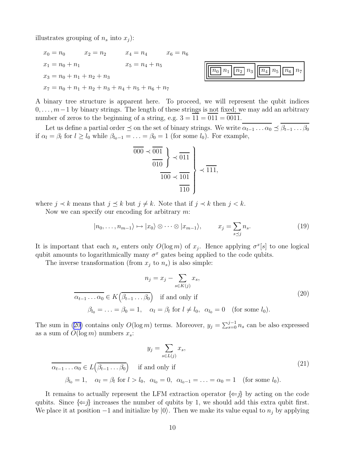<span id="page-9-0"></span>illustrates grouping of  $n_s$  into  $x_j$ ):

$$
x_0 = n_0 \t x_2 = n_2 \t x_4 = n_4 \t x_6 = n_6
$$
  
\n
$$
x_1 = n_0 + n_1 \t x_5 = n_4 + n_5
$$
  
\n
$$
x_3 = n_0 + n_1 + n_2 + n_3
$$
  
\n
$$
x_7 = n_0 + n_1 + n_2 + n_3 + n_4 + n_5 + n_6 + n_7
$$



A binary tree structure is apparent here. To proceed, we will represent the qubit indices  $0, \ldots, m-1$  by binary strings. The length of these strings is not fixed; we may add an arbitrary number of zeros to the beginning of a string, e.g.  $3 = 11 = 011 = 0011$ .

Let us define a partial order  $\preceq$  on the set of binary strings. We write  $\alpha_{t-1} \ldots \alpha_0 \preceq \beta_{t-1} \ldots \beta_0$ if  $\alpha_l = \beta_l$  for  $l \ge l_0$  while  $\beta_{l_0-1} = \ldots = \beta_0 = 1$  (for some  $l_0$ ). For example,

$$
\frac{1}{1000} \times \frac{1}{1000} \times \frac{1}{1000} \times \frac{1}{1000} \times \frac{1}{1100}
$$

where  $j \prec k$  means that  $j \preceq k$  but  $j \neq k$ . Note that if  $j \prec k$  then  $j \prec k$ .

Now we can specify our encoding for arbitrary  $m$ :

$$
|n_0, \ldots, n_{m-1}\rangle \mapsto |x_0\rangle \otimes \cdots \otimes |x_{m-1}\rangle, \qquad x_j = \sum_{s \preceq j} n_s. \tag{19}
$$

It is important that each  $n_s$  enters only  $O(\log m)$  of  $x_j$ . Hence applying  $\sigma^x[s]$  to one logical qubit amounts to logarithmically many  $\sigma^x$  gates being applied to the code qubits.

The inverse transformation (from  $x_j$  to  $n_s$ ) is also simple:

$$
n_j = x_j - \sum_{s \in K(j)} x_s,
$$
  
\n
$$
\overline{\alpha_{t-1} \dots \alpha_0} \in K(\beta_{t-1} \dots \beta_0) \quad \text{if and only if}
$$
  
\n
$$
\beta_{l_0} = \dots = \beta_0 = 1, \quad \alpha_l = \beta_l \text{ for } l \neq l_0, \quad \alpha_{l_0} = 0 \quad \text{(for some } l_0).
$$
\n(20)

The sum in (20) contains only  $O(\log m)$  terms. Moreover,  $y_j = \sum_{s=0}^{j-1} n_s$  can be also expressed as a sum of  $O(\log m)$  numbers  $x_s$ :

$$
y_j = \sum_{s \in L(j)} x_s,
$$
  
\n
$$
\overline{\alpha_{t-1} \dots \alpha_0} \in L(\beta_{t-1} \dots \beta_0) \quad \text{if and only if}
$$
  
\n
$$
\beta_{l_0} = 1, \quad \alpha_l = \beta_l \text{ for } l > l_0, \ \alpha_{l_0} = 0, \ \alpha_{l_0-1} = \dots = \alpha_0 = 1 \quad \text{(for some } l_0\text{).}
$$
\n(21)

It remains to actually represent the LFM extraction operator  $\{\Leftarrow j\}$  by acting on the code qubits. Since  $\{\Leftarrow j\}$  increases the number of qubits by 1, we should add this extra qubit first. We place it at position  $-1$  and initialize by  $|0\rangle$ . Then we make its value equal to  $n_j$  by applying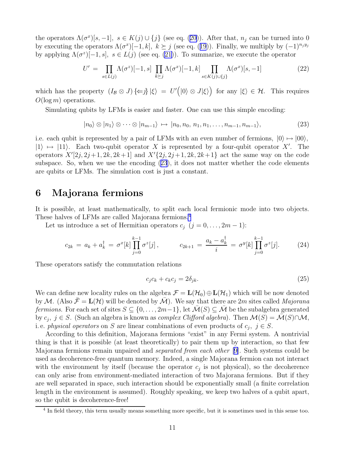<span id="page-10-0"></span>the operators  $\Lambda(\sigma^x)[s,-1]$ ,  $s \in K(j) \cup \{j\}$  (see eq. [\(20\)](#page-9-0)). After that,  $n_j$  can be turned into 0 byexecuting the operators  $\Lambda(\sigma^x)[-1, k]$ ,  $k \geq j$  (see eq. ([19](#page-9-0))). Finally, we multiply by  $(-1)^{n_j y_j}$ by applying  $\Lambda(\sigma^z)[-1, s]$ ,  $s \in L(j)$  (see eq. [\(21\)](#page-9-0)). To summarize, we execute the operator

$$
U' = \prod_{s \in L(j)} \Lambda(\sigma^z)[-1, s] \prod_{k \succeq j} \Lambda(\sigma^x)[-1, k] \prod_{s \in K(j) \cup \{j\}} \Lambda(\sigma^x)[s, -1]
$$
(22)

which has the property  $(I_B \otimes J) \{\Leftarrow j\} |\xi\rangle = U'(|0\rangle \otimes J|\xi\rangle)$  for any  $|\xi\rangle \in \mathcal{H}$ . This requires  $O(\log m)$  operations.

Simulating qubits by LFMs is easier and faster. One can use this simple encoding:

$$
|n_0\rangle \otimes |n_1\rangle \otimes \cdots \otimes |n_{m-1}\rangle \mapsto |n_0, n_0, n_1, n_1, \ldots, n_{m-1}, n_{m-1}\rangle, \tag{23}
$$

i.e. each qubit is represented by a pair of LFMs with an even number of fermions,  $|0\rangle \mapsto |00\rangle$ ,  $|1\rangle \mapsto |11\rangle$ . Each two-qubit operator X is represented by a four-qubit operator X'. The operators  $X'[2j, 2j+1, 2k, 2k+1]$  and  $X'[2j, 2j+1, 2k, 2k+1]$  act the same way on the code subspace. So, when we use the encoding (23), it does not matter whether the code elements are qubits or LFMs. The simulation cost is just a constant.

#### 6 Majorana fermions

It is possible, at least mathematically, to split each local fermionic mode into two objects. These halves of LFMs are called Majorana fermions.<sup>4</sup>

Let us introduce a set of Hermitian operators  $c_j$   $(j = 0, \ldots, 2m - 1)$ :

$$
c_{2k} = a_k + a_k^{\dagger} = \sigma^x[k] \prod_{j=0}^{k-1} \sigma^z[j], \qquad c_{2k+1} = \frac{a_k - a_k^{\dagger}}{i} = \sigma^y[k] \prod_{j=0}^{k-1} \sigma^z[j]. \tag{24}
$$

These operators satisfy the commutation relations

$$
c_j c_k + c_k c_j = 2\delta_{jk}.\tag{25}
$$

We can define new locality rules on the algebra  $\mathcal{F} = \mathbf{L}(\mathcal{H}_0) \oplus \mathbf{L}(\mathcal{H}_1)$  which will be now denoted by M. (Also  $\bar{\mathcal{F}} = L(\mathcal{H})$  will be denoted by  $\bar{\mathcal{M}}$ ). We say that there are 2m sites called *Majorana fermions.* For each set of sites  $S \subseteq \{0, \ldots, 2m-1\}$ , let  $\mathcal{M}(S) \subseteq \mathcal{M}$  be the subalgebra generated by  $c_j$ ,  $j \in S$ . (Such an algebra is known as *complex Clifford algebra*). Then  $\mathcal{M}(S) = \overline{\mathcal{M}}(S) \cap \mathcal{M}$ , i. e. *physical operators* on S are linear combinations of even products of  $c_j$ ,  $j \in S$ .

According to this definition, Majorana fermions "exist" in any Fermi system. A nontrivial thing is that it is possible (at least theoretically) to pair them up by interaction, so that few Majorana fermions remain unpaired and separated from each other [[9\]](#page-17-0). Such systems could be used as decoherence-free quantum memory. Indeed, a single Majorana fermion can not interact with the environment by itself (because the operator  $c_j$  is not physical), so the decoherence can only arise from environment-mediated interaction of two Majorana fermions. But if they are well separated in space, such interaction should be exponentially small (a finite correlation length in the environment is assumed). Roughly speaking, we keep two halves of a qubit apart, so the qubit is decoherence-free!

<sup>&</sup>lt;sup>4</sup> In field theory, this term usually means something more specific, but it is sometimes used in this sense too.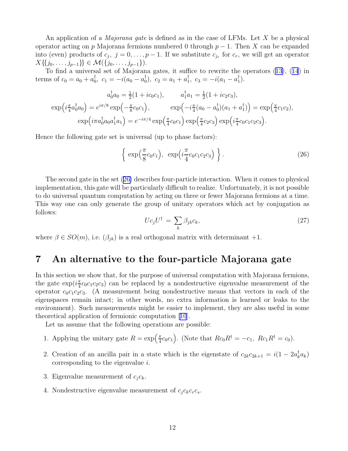An application of a *Majorana gate* is defined as in the case of LFMs. Let X be a physical operator acting on p Majorana fermions numbered 0 through  $p-1$ . Then X can be expanded into (even) products of  $c_j$ ,  $j = 0, \ldots, p - 1$ . If we substitute  $c_{j_r}$  for  $c_r$ , we will get an operator  $X\{\{j_0, \ldots, j_{p-1}\}\}\in \mathcal{M}(\{j_0, \ldots, j_{p-1}\}).$ 

To find a universal set of Majorana gates, it suffice to rewrite the operators([13\)](#page-7-0),([14](#page-7-0)) in terms of  $c_0 = a_0 + a_0^{\dagger}$ ,  $c_1 = -i(a_0 - a_0^{\dagger})$ ,  $c_2 = a_1 + a_1^{\dagger}$ ,  $c_3 = -i(a_1 - a_1^{\dagger})$ .

$$
a_0^{\dagger} a_0 = \frac{1}{2} (1 + i c_0 c_1), \qquad a_1^{\dagger} a_1 = \frac{1}{2} (1 + i c_2 c_3),
$$
  
\n
$$
\exp\left(i \frac{\pi}{4} a_0^{\dagger} a_0\right) = e^{i \pi/8} \exp\left(-\frac{\pi}{8} c_0 c_1\right), \qquad \exp\left(-i \frac{\pi}{4} (a_0 - a_0^{\dagger}) (a_1 + a_1^{\dagger})\right) = \exp\left(\frac{\pi}{4} c_1 c_2\right),
$$
  
\n
$$
\exp\left(i \pi a_0^{\dagger} a_0 a_1^{\dagger} a_1\right) = e^{-i \pi/4} \exp\left(\frac{\pi}{4} c_0 c_1\right) \exp\left(\frac{\pi}{4} c_2 c_3\right) \exp\left(i \frac{\pi}{4} c_0 c_1 c_2 c_3\right).
$$

Hence the following gate set is universal (up to phase factors):

$$
\left\{\exp\left(\frac{\pi}{8}c_0c_1\right),\ \exp\left(i\frac{\pi}{4}c_0c_1c_2c_3\right)\right\}.
$$
\n(26)

The second gate in the set (26) describes four-particle interaction. When it comes to physical implementation, this gate will be particularly difficult to realize. Unfortunately, it is not possible to do universal quantum computation by acting on three or fewer Majorana fermions at a time. This way one can only generate the group of unitary operators which act by conjugation as follows:

$$
Uc_jU^{\dagger} = \sum_k \beta_{jk}c_k, \qquad (27)
$$

where  $\beta \in SO(m)$ , i.e.  $(\beta_{jk})$  is a real orthogonal matrix with determinant +1.

#### 7 An alternative to the four-particle Majorana gate

In this section we show that, for the purpose of universal computation with Majorana fermions, the gate  $\exp(i\frac{\pi}{4})$  $\frac{\pi}{4}c_0c_1c_2c_3$  can be replaced by a nondestructive eigenvalue measurement of the operator  $c_0c_1c_2c_3$ . (A measurement being nondestructive means that vectors in each of the eigenspaces remain intact; in other words, no extra information is learned or leaks to the environment). Such measurements might be easier to implement, they are also useful in some theoretical application of fermionic computation[[10](#page-17-0)].

Let us assume that the following operations are possible:

- 1. Applying the unitary gate  $R = \exp(\frac{\pi}{4})$  $\frac{\pi}{4}c_0c_1$ . (Note that  $Rc_0R^{\dagger} = -c_1$ ,  $Rc_1R^{\dagger} = c_0$ ).
- 2. Creation of an ancilla pair in a state which is the eigenstate of  $c_{2k}c_{2k+1} = i(1 2a_k^{\dagger}a_k)$ corresponding to the eigenvalue i.
- 3. Eigenvalue measurement of  $c_j c_k$ .
- 4. Nondestructive eigenvalue measurement of  $c_j c_k c_r c_s$ .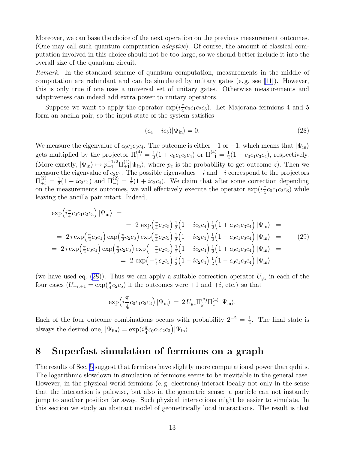Moreover, we can base the choice of the next operation on the previous measurement outcomes. (One may call such quantum computation adaptive). Of course, the amount of classical computation involved in this choice should not be too large, so we should better include it into the overall size of the quantum circuit.

Remark. In the standard scheme of quantum computation, measurements in the middle of computation are redundant and can be simulated by unitary gates (e. g. see [\[11](#page-17-0)]). However, this is only true if one uses a universal set of unitary gates. Otherwise measurements and adaptiveness can indeed add extra power to unitary operators.

Suppose we want to apply the operator  $\exp(i\frac{\pi}{4})$  $\frac{\pi}{4}c_0c_1c_2c_3$ . Let Majorana fermions 4 and 5 form an ancilla pair, so the input state of the system satisfies

$$
(c_4 + ic_5)|\Psi_{\rm in}\rangle = 0.\tag{28}
$$

We measure the eigenvalue of  $c_0c_1c_3c_4$ . The outcome is either +1 or -1, which means that  $|\Psi_{\rm in}\rangle$ gets multiplied by the projector  $\Pi_{+1}^{(4)} = \frac{1}{2}$  $\frac{1}{2}(1+c_0c_1c_3c_4)$  or  $\Pi_{-1}^{(4)}=\frac{1}{2}$  $\frac{1}{2}(1 - c_0 c_1 c_3 c_4)$ , respectively. (More exactly,  $|\Psi_{\text{in}}\rangle \mapsto p_{\pm 1}^{-1/2} \Pi_{\pm 1}^{(4)}$  $\pm 1 \mid \Psi_{\text{in}}\rangle$ , where  $p_z$  is the probability to get outcome z). Then we measure the eigenvalue of  $c_2c_4$ . The possible eigenvalues  $+i$  and  $-i$  correspond to the projectors  $\Pi_{+i}^{(2)} = \frac{1}{2}$  $\frac{1}{2}(1 - i c_2 c_4)$  and  $\Pi_{-i}^{(2)} = \frac{1}{2}$  $\frac{1}{2}(1 + ic_2c_4)$ . We claim that after some correction depending on the measurements outcomes, we will effectively execute the operator  $\exp(i\frac{\pi}{4})$  $\frac{\pi}{4}c_0c_1c_2c_3$ ) while leaving the ancilla pair intact. Indeed,

$$
\exp\left(i\frac{\pi}{4}c_0c_1c_2c_3\right)|\Psi_{\rm in}\rangle =
$$
\n
$$
= 2 \exp\left(\frac{\pi}{4}c_2c_5\right) \frac{1}{2}\left(1 - ic_2c_4\right) \frac{1}{2}\left(1 + c_0c_1c_3c_4\right)|\Psi_{\rm in}\rangle =
$$
\n
$$
= 2 i \exp\left(\frac{\pi}{2}c_0c_1\right) \exp\left(\frac{\pi}{2}c_2c_3\right) \exp\left(\frac{\pi}{4}c_2c_5\right) \frac{1}{2}\left(1 - ic_2c_4\right) \frac{1}{2}\left(1 - c_0c_1c_3c_4\right)|\Psi_{\rm in}\rangle =
$$
\n
$$
= 2 i \exp\left(\frac{\pi}{2}c_0c_1\right) \exp\left(\frac{\pi}{2}c_2c_3\right) \exp\left(-\frac{\pi}{4}c_2c_5\right) \frac{1}{2}\left(1 + ic_2c_4\right) \frac{1}{2}\left(1 + c_0c_1c_3c_4\right)|\Psi_{\rm in}\rangle =
$$
\n
$$
= 2 \exp\left(-\frac{\pi}{4}c_2c_5\right) \frac{1}{2}\left(1 + ic_2c_4\right) \frac{1}{2}\left(1 - c_0c_1c_3c_4\right)|\Psi_{\rm in}\rangle
$$
\n(29)

(we have used eq. (28)). Thus we can apply a suitable correction operator  $U_{yz}$  in each of the four cases  $(U_{+i,+1} = \exp(\frac{\pi}{4}c_2c_5)$  if the outcomes were  $+1$  and  $+i$ , etc.) so that

$$
\exp\left(i\frac{\pi}{4}c_0c_1c_2c_3\right)|\Psi_{\rm in}\rangle = 2 U_{yz}\Pi_{y}^{(2)}\Pi_{z}^{(4)}|\Psi_{\rm in}\rangle.
$$

Each of the four outcome combinations occurs with probability  $2^{-2} = \frac{1}{4}$  $\frac{1}{4}$ . The final state is always the desired one,  $|\Psi_{fin}\rangle = \exp(i\frac{\pi}{4})$  $rac{\pi}{4}c_0c_1c_2c_3\Big)\Psi_{\rm in}\rangle.$ 

#### 8 Superfast simulation of fermions on a graph

The results of Sec. [5](#page-7-0) suggest that fermions have slightly more computational power than qubits. The logarithmic slowdown in simulation of fermions seems to be inevitable in the general case. However, in the physical world fermions (e. g. electrons) interact locally not only in the sense that the interaction is pairwise, but also in the geometric sense: a particle can not instantly jump to another position far away. Such physical interactions might be easier to simulate. In this section we study an abstract model of geometrically local interactions. The result is that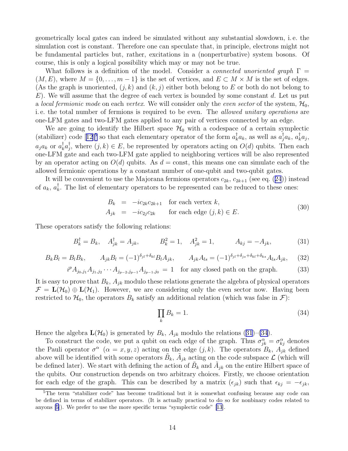<span id="page-13-0"></span>geometrically local gates can indeed be simulated without any substantial slowdown, i. e. the simulation cost is constant. Therefore one can speculate that, in principle, electrons might not be fundamental particles but, rather, excitations in a (nonperturbative) system bosons. Of course, this is only a logical possibility which may or may not be true.

What follows is a definition of the model. Consider a *connected unoriented graph*  $\Gamma$  =  $(M, E)$ , where  $M = \{0, \ldots, m-1\}$  is the set of vertices, and  $E \subset M \times M$  is the set of edges. (As the graph is unoriented,  $(j, k)$  and  $(k, j)$  either both belong to E or both do not belong to  $E$ ). We will assume that the degree of each vertex is bounded by some constant d. Let us put a local fermionic mode on each vertex. We will consider only the even sector of the system,  $\mathcal{H}_0$ , i. e. the total number of fermions is required to be even. The allowed unitary operations are one-LFM gates and two-LFM gates applied to any pair of vertices connected by an edge.

We are going to identify the Hilbert space  $\mathcal{H}_0$  with a codespace of a certain symplectic (stabilizer)code [[12](#page-17-0)]<sup>5</sup> so that each elementary operator of the form  $a_k^{\dagger}a_k$ , as well as  $a_j^{\dagger}a_k$ ,  $a_k^{\dagger}a_j$ ,  $a_j a_k$  or  $a_k^{\dagger} a_j^{\dagger}$ , where  $(j, k) \in E$ , be represented by operators acting on  $O(d)$  qubits. Then each one-LFM gate and each two-LFM gate applied to neighboring vertices will be also represented by an operator acting on  $O(d)$  qubits. As  $d = \text{const}$ , this means one can simulate each of the allowed fermionic operations by a constant number of one-qubit and two-qubit gates.

Itwill be convenient to use the Majorana fermions operators  $c_{2k}$ ,  $c_{2k+1}$  (see eq. ([24](#page-10-0))) instead of  $a_k$ ,  $a_k^{\dagger}$ . The list of elementary operators to be represented can be reduced to these ones:

$$
B_k = -ic_{2k}c_{2k+1} \text{ for each vertex } k,
$$
  
\n
$$
A_{jk} = -ic_{2j}c_{2k} \text{ for each edge } (j,k) \in E.
$$
\n(30)

These operators satisfy the following relations:

$$
B_k^{\dagger} = B_k, \quad A_{jk}^{\dagger} = A_{jk}, \qquad B_k^2 = 1, \quad A_{jk}^2 = 1, \qquad A_{kj} = -A_{jk}, \qquad (31)
$$

$$
B_k B_l = B_l B_k, \qquad A_{jk} B_l = (-1)^{\delta_{jl} + \delta_{kl}} B_l A_{jk}, \qquad A_{jk} A_{ls} = (-1)^{\delta_{jl} + \delta_{js} + \delta_{kl} + \delta_{ks}} A_{ls} A_{jk}, \qquad (32)
$$

$$
i^p A_{j_0,j_1} A_{j_1,j_2} \cdots A_{j_{p-2},j_{p-1}} A_{j_{p-1},j_0} = 1 \text{ for any closed path on the graph.}
$$
 (33)

It is easy to prove that  $B_k$ ,  $A_{jk}$  modulo these relations generate the algebra of physical operators  $\mathcal{F} = \mathbf{L}(\mathcal{H}_0) \oplus \mathbf{L}(\mathcal{H}_1)$ . However, we are considering only the even sector now. Having been restricted to  $\mathcal{H}_0$ , the operators  $B_k$  satisfy an additional relation (which was false in  $\mathcal{F}$ ):

$$
\prod_k B_k = 1. \tag{34}
$$

Hence the algebra  $\mathbf{L}(\mathcal{H}_0)$  is generated by  $B_k$ ,  $A_{jk}$  modulo the relations (31)–(34).

To construct the code, we put a qubit on each edge of the graph. Thus  $\sigma_{jk}^{\alpha} = \sigma_{kj}^{\alpha}$  denotes the Pauli operator  $\sigma^{\alpha}$  ( $\alpha = x, y, z$ ) acting on the edge  $(j, k)$ . The operators  $B_k$ ,  $A_{jk}$  defined above will be identified with some operators  $\tilde{B}_k$ ,  $\tilde{A}_{jk}$  acting on the code subspace  $\mathcal{L}$  (which will be defined later). We start with defining the action of  $\tilde{B}_k$  and  $\tilde{A}_{jk}$  on the entire Hilbert space of the qubits. Our construction depends on two arbitrary choices. Firstly, we choose orientation for each edge of the graph. This can be described by a matrix  $(\epsilon_{jk})$  such that  $\epsilon_{kj} = -\epsilon_{jk}$ ,

<sup>&</sup>lt;sup>5</sup>The term "stabilizer code" has become traditional but it is somewhat confusing because any code can be defined in terms of stabilizer operators. (It is actually practical to do so for nonbinary codes related to anyons [\[5](#page-17-0)]). We prefer to use the more specific terms "symplectic code" [\[13](#page-17-0)].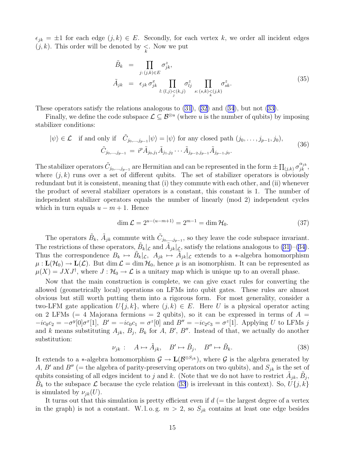$\epsilon_{jk} = \pm 1$  for each edge  $(j, k) \in E$ . Secondly, for each vertex k, we order all incident edges  $(j, k)$ . This order will be denoted by  $\leq$ . Now we put

$$
\tilde{B}_k = \prod_{j:(j,k)\in E} \sigma_{jk}^z,
$$
\n
$$
\tilde{A}_{jk} = \epsilon_{jk} \sigma_{jk}^x \prod_{l:(l,j)< (k,j)} \sigma_{lj}^z \prod_{s:(s,k)< (j,k)} \sigma_{sk}^z.
$$
\n(35)

These operators satisfy the relations analogous to [\(31](#page-13-0)), [\(32\)](#page-13-0) and([34](#page-13-0)), but not([33\)](#page-13-0).

Finally, we define the code subspace  $\mathcal{L} \subseteq \mathcal{B}^{\otimes u}$  (where u is the number of qubits) by imposing stabilizer conditions:

$$
|\psi\rangle \in \mathcal{L} \quad \text{if and only if} \quad \tilde{C}_{j_0,\dots,j_{p-1}}|\psi\rangle = |\psi\rangle \text{ for any closed path } (j_0,\dots,j_{p-1},j_0),
$$

$$
\tilde{C}_{j_0,\dots,j_{p-1}} = i^p \tilde{A}_{j_0,j_1} \tilde{A}_{j_1,j_2} \cdots \tilde{A}_{j_{p-2},j_{p-1}} \tilde{A}_{j_{p-1},j_0}.
$$
(36)

The stabilizer operators  $\tilde{C}_{j_0,\dots,j_{p-1}}$  are Hermitian and can be represented in the form  $\pm \prod_{(j,k)} \sigma_{jk}^{\alpha_{jk}}$ , where  $(j, k)$  runs over a set of different qubits. The set of stabilizer operators is obviously redundant but it is consistent, meaning that (i) they commute with each other, and (ii) whenever the product of several stabilizer operators is a constant, this constant is 1. The number of independent stabilizer operators equals the number of linearly (mod 2) independent cycles which in turn equals  $u - m + 1$ . Hence

$$
\dim \mathcal{L} = 2^{u - (u - m + 1)} = 2^{m - 1} = \dim \mathcal{H}_0.
$$
\n(37)

The operators  $\tilde{B}_k$ ,  $\tilde{A}_{jk}$  commute with  $\tilde{C}_{j_0,\dots,j_{p-1}}$ , so they leave the code subspace invariant. The restrictions of these operators,  $\tilde{B}_k|_{\mathcal{L}}$  and  $\tilde{A}_{jk}|_{\mathcal{L}}$ , satisfy the relations analogous to [\(31\)](#page-13-0)–([34\)](#page-13-0). Thus the correspondence  $B_k \mapsto \tilde{B}_k|_{\mathcal{L}}, A_{jk} \mapsto \tilde{A}_{jk}|_{\mathcal{L}}$  extends to a  $*$ -algebra homomorphism  $\mu: L(\mathcal{H}_0) \to L(\mathcal{L})$ . But dim  $\mathcal{L} = \dim \mathcal{H}_0$ , hence  $\mu$  is an isomorphism. It can be represented as  $\mu(X) = J X J^{\dagger}$ , where  $J: \mathcal{H}_0 \to \mathcal{L}$  is a unitary map which is unique up to an overall phase.

Now that the main construction is complete, we can give exact rules for converting the allowed (geometrically local) operations on LFMs into qubit gates. These rules are almost obvious but still worth putting them into a rigorous form. For most generality, consider a two-LFM gate application  $U\{j,k\}$ , where  $(j,k) \in E$ . Here U is a physical operator acting on 2 LFMs (= 4 Majorana fermions = 2 qubits), so it can be expressed in terms of  $A =$  $-ic_0c_2 = -\sigma^y[0]\sigma^x[1], B' = -ic_0c_1 = \sigma^z[0]$  and  $B'' = -ic_2c_3 = \sigma^z[1]$ . Applying U to LFMs j and k means substituting  $A_{jk}$ ,  $B_j$ ,  $B_k$  for A, B', B''. Instead of that, we actually do another substitution:

$$
\nu_{jk} : A \mapsto \tilde{A}_{jk}, B' \mapsto \tilde{B}_j, B'' \mapsto \tilde{B}_k. \tag{38}
$$

It extends to a ∗-algebra homomorphism  $\mathcal{G} \to \mathbf{L}(\mathcal{B}^{\otimes S_{jk}})$ , where  $\mathcal{G}$  is the algebra generated by A, B' and B'' (= the algebra of parity-preserving operators on two qubits), and  $S_{jk}$  is the set of qubits consisting of all edges incident to j and k. (Note that we do not have to restrict  $\tilde{A}_{jk}$ ,  $\tilde{B}_j$ ,  $\tilde{B}_k$ to the subspace  $\mathcal{L}$  because the cycle relation ([33](#page-13-0)) is irrelevant in this context). So,  $\tilde{U}\{j, k\}$ is simulated by  $\nu_{ik}(U)$ .

It turns out that this simulation is pretty efficient even if  $d$  (= the largest degree of a vertex in the graph) is not a constant. W.l.o.g.  $m > 2$ , so  $S_{jk}$  contains at least one edge besides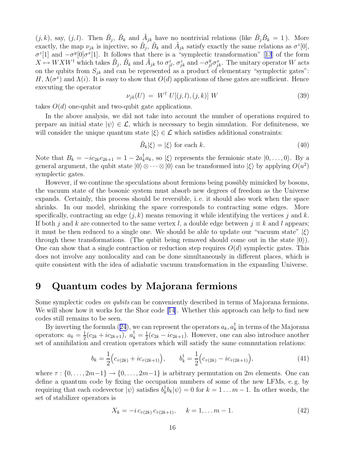$(j, k)$ , say,  $(j, l)$ . Then  $\tilde{B}_j$ ,  $\tilde{B}_k$  and  $\tilde{A}_{jk}$  have no nontrivial relations (like  $\tilde{B}_j \tilde{B}_k = 1$ ). More exactly, the map  $\nu_{jk}$  is injective, so  $\tilde{B}_j$ ,  $\tilde{B}_k$  and  $\tilde{A}_{jk}$  satisfy exactly the same relations as  $\sigma^2[0]$ ,  $\sigma^z[1]$  and  $-\sigma^y[0]\sigma^x[1]$ . It follows that there is a "symplectic transformation" [[13](#page-17-0)] of the form  $X \mapsto W X W^{\dagger}$  which takes  $\tilde{B}_j$ ,  $\tilde{B}_k$  and  $\tilde{A}_{jk}$  to  $\sigma_{jl}^z$ ,  $\sigma_{jk}^z$  and  $-\sigma_{jl}^y \sigma_{jk}^x$ . The unitary operator W acts on the qubits from  $S_{jk}$  and can be represented as a product of elementary "symplectic gates": H,  $\Lambda(\sigma^x)$  and  $\Lambda(i)$ . It is easy to show that  $O(d)$  applications of these gates are sufficient. Hence executing the operator

$$
\nu_{jk}(U) = W^{\dagger} U[(j,l),(j,k)] W \qquad (39)
$$

takes  $O(d)$  one-qubit and two-qubit gate applications.

In the above analysis, we did not take into account the number of operations required to prepare an initial state  $|\psi\rangle \in \mathcal{L}$ , which is necessary to begin simulation. For definiteness, we will consider the unique quantum state  $|\xi\rangle \in \mathcal{L}$  which satisfies additional constraints:

$$
\tilde{B}_k|\xi\rangle = |\xi\rangle \text{ for each } k. \tag{40}
$$

Note that  $B_k = -ic_{2k}c_{2k+1} = 1 - 2a_k^{\dagger}a_k$ , so  $|\xi\rangle$  represents the fermionic state  $|0, \ldots, 0\rangle$ . By a general argument, the qubit state  $|0\rangle \otimes \cdots \otimes |0\rangle$  can be transformed into  $|\xi\rangle$  by applying  $O(u^2)$ symplectic gates.

However, if we continue the speculations about fermions being possibly mimicked by bosons, the vacuum state of the bosonic system must absorb new degrees of freedom as the Universe expands. Certainly, this process should be reversible, i. e. it should also work when the space shrinks. In our model, shrinking the space corresponds to contracting some edges. More specifically, contracting an edge  $(j, k)$  means removing it while identifying the vertices j and k. If both j and k are connected to the same vertex l, a double edge between  $j \equiv k$  and l appears; it must be then reduced to a single one. We should be able to update our "vacuum state"  $|\xi\rangle$ through these transformations. (The qubit being removed should come out in the state  $|0\rangle$ ). One can show that a single contraction or reduction step requires  $O(d)$  symplectic gates. This does not involve any nonlocality and can be done simultaneously in different places, which is quite consistent with the idea of adiabatic vacuum transformation in the expanding Universe.

#### 9 Quantum codes by Majorana fermions

Some symplectic codes on qubits can be conveniently described in terms of Majorana fermions. We will show how it works for the Shor code [\[14\]](#page-17-0). Whether this approach can help to find new codes still remains to be seen.

Byinverting the formula ([24](#page-10-0)), we can represent the operators  $a_k$ ,  $a_k^{\dagger}$  in terms of the Majorana operators:  $a_k = \frac{1}{2}$  $\frac{1}{2}(c_{2k}+ic_{2k+1}), a_k^{\dagger}=\frac{1}{2}$  $\frac{1}{2}(c_{2k} - ic_{2k+1})$ . However, one can also introduce another set of annihilation and creation operators which will satisfy the same commutation relations:

$$
b_k = \frac{1}{2} \Big( c_{\tau(2k)} + i c_{\tau(2k+1)} \Big), \qquad b_k^{\dagger} = \frac{1}{2} \Big( c_{\tau(2k)} - i c_{\tau(2k+1)} \Big), \tag{41}
$$

where  $\tau : \{0, \ldots, 2m-1\} \to \{0, \ldots, 2m-1\}$  is arbitrary permutation on 2m elements. One can define a quantum code by fixing the occupation numbers of some of the new LFMs, e. g. by requiring that each codevector  $|\psi\rangle$  satisfies  $b_k^{\dagger} b_k |\psi\rangle = 0$  for  $k = 1 ... m - 1$ . In other words, the set of stabilizer operators is

$$
X_k = -i c_{\tau(2k)} c_{\tau(2k+1)}, \quad k = 1, \dots m-1.
$$
 (42)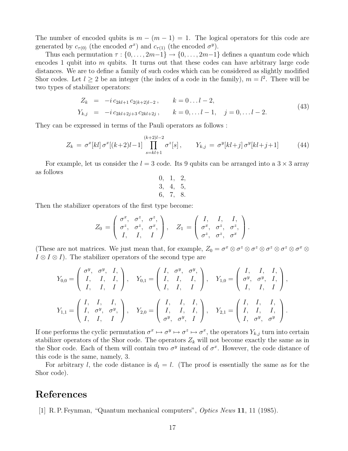<span id="page-16-0"></span>The number of encoded qubits is  $m - (m - 1) = 1$ . The logical operators for this code are generated by  $c_{\tau(0)}$  (the encoded  $\sigma^x$ ) and  $c_{\tau(1)}$  (the encoded  $\sigma^y$ ).

Thus each permutation  $\tau : \{0, \ldots, 2m-1\} \to \{0, \ldots, 2m-1\}$  defines a quantum code which encodes 1 qubit into  $m$  qubits. It turns out that these codes can have arbitrary large code distances. We are to define a family of such codes which can be considered as slightly modified Shor codes. Let  $l \geq 2$  be an integer (the index of a code in the family),  $m = l^2$ . There will be two types of stabilizer operators:

$$
Z_k = -i c_{2kl+1} c_{2(k+2)l-2}, \t k = 0...l-2,
$$
  
\n
$$
Y_{k,j} = -i c_{2kl+2j+3} c_{2kl+2j}, \t k = 0,...l-1, j = 0,...l-2.
$$
\n(43)

They can be expressed in terms of the Pauli operators as follows :

$$
Z_k = \sigma^x[kl] \sigma^x[(k+2)l-1] \prod_{s=kl+1}^{(k+2)l-2} \sigma^z[s], \qquad Y_{k,j} = \sigma^y[kl+j] \sigma^y[kl+j+1]
$$
(44)

For example, let us consider the  $l = 3$  code. Its 9 qubits can be arranged into a  $3 \times 3$  array as follows

$$
\begin{array}{cc} 0, & 1, & 2, \\ 3, & 4, & 5, \\ 6, & 7, & 8. \end{array}
$$

Then the stabilizer operators of the first type become:

$$
Z_0 = \begin{pmatrix} \sigma^x, & \sigma^z, & \sigma^z, \\ \sigma^z, & \sigma^z, & \sigma^x, \\ I, & I, & I \end{pmatrix}, \quad Z_1 = \begin{pmatrix} I, & I, & I, \\ \sigma^x, & \sigma^z, & \sigma^z, \\ \sigma^z, & \sigma^z, & \sigma^x \end{pmatrix}.
$$

(These are not matrices. We just mean that, for example,  $Z_0 = \sigma^x \otimes \sigma^z \otimes \sigma^z \otimes \sigma^z \otimes \sigma^z \otimes \sigma^x \otimes \sigma^z$  $I \otimes I \otimes I$ . The stabilizer operators of the second type are

$$
Y_{0,0} = \begin{pmatrix} \sigma^y, & \sigma^y, & I, \\ I, & I, & I, \\ I, & I, & I \end{pmatrix}, \quad Y_{0,1} = \begin{pmatrix} I, & \sigma^y, & \sigma^y, \\ I, & I, & I, \\ I, & I, & I \end{pmatrix}, \quad Y_{1,0} = \begin{pmatrix} I, & I, & I, \\ \sigma^y, & \sigma^y, & I, \\ I, & I, & I \end{pmatrix},
$$

$$
Y_{1,1} = \begin{pmatrix} I, & I, & I, \\ I, & \sigma^y, & \sigma^y, \\ I, & I, & I \end{pmatrix}, \quad Y_{2,0} = \begin{pmatrix} I, & I, & I, \\ I, & I, & I, \\ \sigma^y, & \sigma^y, & I \end{pmatrix}, \quad Y_{2,1} = \begin{pmatrix} I, & I, & I, \\ I, & I, & I, \\ I, & \sigma^y, & \sigma^y \end{pmatrix}.
$$

If one performs the cyclic permutation  $\sigma^x \mapsto \sigma^y \mapsto \sigma^z \mapsto \sigma^x$ , the operators  $Y_{k,j}$  turn into certain stabilizer operators of the Shor code. The operators  $Z_k$  will not become exactly the same as in the Shor code. Each of them will contain two  $\sigma^y$  instead of  $\sigma^x$ . However, the code distance of this code is the same, namely, 3.

For arbitrary l, the code distance is  $d_l = l$ . (The proof is essentially the same as for the Shor code).

#### References

[1] R. P. Feynman, "Quantum mechanical computers", Optics News 11, 11 (1985).